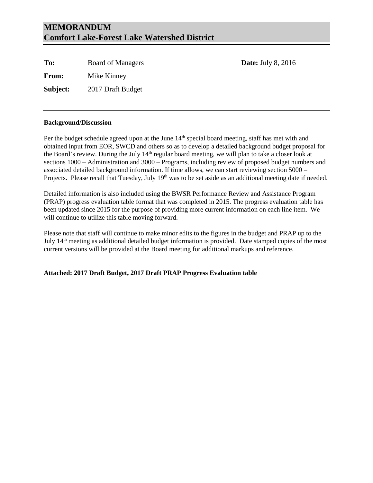### **MEMORANDUM Comfort Lake-Forest Lake Watershed District**

To: Board of Managers **Date:** July 8, 2016 **From:** Mike Kinney **Subject:** 2017 Draft Budget

#### **Background/Discussion**

Per the budget schedule agreed upon at the June 14<sup>th</sup> special board meeting, staff has met with and obtained input from EOR, SWCD and others so as to develop a detailed background budget proposal for the Board's review. During the July 14<sup>th</sup> regular board meeting, we will plan to take a closer look at sections 1000 – Administration and 3000 – Programs, including review of proposed budget numbers and associated detailed background information. If time allows, we can start reviewing section 5000 – Projects. Please recall that Tuesday, July 19<sup>th</sup> was to be set aside as an additional meeting date if needed.

Detailed information is also included using the BWSR Performance Review and Assistance Program (PRAP) progress evaluation table format that was completed in 2015. The progress evaluation table has been updated since 2015 for the purpose of providing more current information on each line item. We will continue to utilize this table moving forward.

Please note that staff will continue to make minor edits to the figures in the budget and PRAP up to the July 14th meeting as additional detailed budget information is provided. Date stamped copies of the most current versions will be provided at the Board meeting for additional markups and reference.

#### **Attached: 2017 Draft Budget, 2017 Draft PRAP Progress Evaluation table**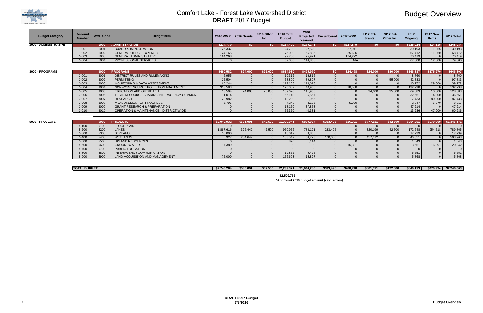# Budget Overview

| \$801,511 | \$122,500 | \$846,113 | \$470,994 | \$2,240,063 |
|-----------|-----------|-----------|-----------|-------------|

| <b>Budget Category</b>       | <b>Account</b><br><b>Number</b>                   | <b>WMP Code</b> | <b>Budget Item</b>                                 | <b>2016 WMP</b> | 2016 Grants    | 2016 Other<br>Inc. | 2016 Total<br><b>Budget</b> | 2016<br>Projected<br>Yearend | l Encumbered l | <b>2017 WMP</b> | 2017 Est.<br><b>Grants</b> | 2017 Est.<br>Other Inc. | 2017<br>Ongoing | <b>2017 New</b><br><b>Items</b> | 2017 Total  |
|------------------------------|---------------------------------------------------|-----------------|----------------------------------------------------|-----------------|----------------|--------------------|-----------------------------|------------------------------|----------------|-----------------|----------------------------|-------------------------|-----------------|---------------------------------|-------------|
| <b>1000 - ADMINISTRATIVE</b> |                                                   | 1000            | <b>ADMINISTRATION</b>                              | \$214,770       | \$0            | \$0                | \$264,400                   | \$279,243                    | <b>SO</b>      | \$227,849       | SO.                        | SO.                     | \$225,024       | \$24,115                        | \$248,084   |
|                              | $1 - 001$                                         | 1001            | <b>BOARD ADMINISTRATION</b>                        | 26.337          |                |                    | 24.700                      | 22.520                       |                | 27.941          |                            |                         | 30.193          | 1.055                           | 30,193      |
|                              | $1 - 002$                                         | 1002            | <b>GENERAL OFFICE EXPENSES</b>                     | 24.165          |                |                    | 75,000                      | 65.885                       |                | 25.636          |                            |                         | 57.412          | 11.060                          | 68,472      |
|                              | $1 - 003$                                         | 1003            | <b>GENERAL ADMINISTRATIVE</b>                      | 164,268         |                |                    | 97,700                      | 75,971                       |                | 174,272         |                            |                         | 70,419          | - ೧                             | 70,419      |
|                              | $1 - 004$<br><b>PROFESSIONAL SERVICES</b><br>1004 |                 |                                                    |                 |                |                    | 67,000                      | 114,868                      |                | N/A             |                            |                         | 67,000          | 12,000                          | 79,000      |
|                              |                                                   |                 |                                                    |                 |                |                    |                             |                              |                |                 |                            |                         |                 |                                 |             |
| 3000 - PROGRAMS              |                                                   | 3000            | <b>PROGRAMS</b>                                    | \$490,582       | \$24,000       | \$25,000           | \$634.980                   | \$495,970                    | \$0            | \$24,478        | \$24.000                   | \$80,000                | \$366,837       | \$175,970                       | \$646,807   |
|                              | $3 - 001$                                         | 3001            | DISTRICT RULES AND RULEMAKING                      | 6,955           |                | $\Omega$           | 19,312                      | 16,816                       | $\Omega$       | $\Omega$        |                            | $\Omega$                | 8,760           | $\Omega$                        | 8,760       |
|                              | $3 - 002$                                         | 3002            | PERMITTING                                         | 25,504          | $\Omega$       | $\overline{0}$     | 58,800                      | 89,807                       | $\Omega$       | $\Omega$        |                            | 55,000                  | 42.833          | $\Omega$                        | 97,833      |
|                              | $3 - 003$                                         | 3003            | <b>MONITORING &amp; DATA ASSESSMENT</b>            | 65.244          | $\Omega$       | 0 <sup>1</sup>     | 117,133                     | 118.613                      | $\Omega$       | $\Omega$        | $\Omega$                   | $\Omega$                | 10,172          | 29,000                          | 39,172      |
|                              | $3 - 004$                                         | 3004            | NON-POINT SOURCE POLLUTION ABATEMENT               | 313,583         | $\Omega$       | $\overline{0}$     | 175,007                     | 40,958                       | $\Omega$       | 18,508          | $\Omega$                   | $\overline{0}$          | 132,298         | $\Omega$                        | 132,298     |
|                              | $3 - 005$                                         | 3005            | <b>EDUCATION AND OUTREACH</b>                      | 33,504          | 24,000         | 25,000             | 109,620                     | 111,956                      | 0 <sup>1</sup> | $\Omega$        | 24,000                     | 25,000                  | 69,883          | 10,000                          | 128,883     |
|                              | $3 - 006$                                         | 3006            | TECH. RESOURCE SHARING/INTERAGENCY COMMUN.         | 11,014          | $\Omega$       | $\overline{0}$     | 56,140                      | 35,567                       | $\Omega$       | $\Omega$        |                            | $\overline{0}$          | 32,661          | 4,000                           | 36,661      |
|                              | $3-007$                                           | 3007            | <b>RESEARCH</b>                                    | 28,982          | $\overline{0}$ | $\overline{0}$     | 18,200                      | 1,965                        | 0 <sup>1</sup> | $\Omega$        | $\Omega$                   | $\overline{0}$          | 7,433           | 80,000                          | 87,433      |
|                              | $3 - 008$                                         | 3008            | MEASUREMENT OF PROGRESS                            | 5,796           | $\Omega$       | $\overline{0}$     | 7.248                       | 2,105                        | 0 <sup>1</sup> | 5,970           | $\Omega$                   | $\overline{0}$          | 2,347           | 5,970                           | 8,317       |
|                              | $3 - 009$                                         | 3009            | <b>GRANT RESEARCH &amp; PREPARATION</b>            |                 | $\Omega$       | $\overline{0}$     | 18.160                      | 37.853                       | $\Omega$       | $\Omega$        |                            | $\Omega$                | 47.214          | $\Omega$                        | 47,214      |
|                              | $3 - 010$                                         | 3010            | <b>OPERATION &amp; MAINTENANCE - DISTRICT WIDE</b> | $\Omega$        | $\Omega$       | $\overline{0}$     | 55,360                      | 40,331                       | $\Omega$       | $\Omega$        | $\Omega$                   | $\Omega$                | 13,236          | 47.000                          | 60,236      |
|                              |                                                   |                 |                                                    |                 |                |                    |                             |                              |                |                 |                            |                         |                 |                                 |             |
| 5000 - PROJECTS              |                                                   | 5000            | <b>PROJECTS</b>                                    | \$2,040,932     | \$561,091      | \$42,500           | \$1,339,941                 | \$869,067                    | \$333,495      | \$16,391        | \$777.511                  | \$42,500                | \$254,251       | \$270,909                       | \$1,345,171 |
|                              | $5 - 100$                                         | 5100            | <b>FLOODPLAIN</b>                                  |                 |                | $\overline{0}$     |                             |                              |                | $\Omega$        |                            | $\Omega$                | $\Omega$        |                                 | $\Omega$    |
|                              | $5 - 200$                                         | 5200            | <b>LAKES</b>                                       | 1,897,616       | 326,449        | 42,500             | 960,956                     | 784,121                      | 233,495        | $\Omega$        | 320,199                    | 42,500                  | 172,648         | 254,518                         | 789,865     |
|                              | $5 - 300$                                         | 5300            | <b>STREAMS</b>                                     | 50,000          | $\Omega$       | $\overline{0}$     | 18,012                      | 3,856                        | $\Omega$       | $\Omega$        |                            | $\overline{0}$          | 17,739          | $\Omega$                        | 17,739      |
|                              | $5 - 400$                                         | 5400            | <b>WETLANDS</b>                                    | 927             | 234,642        | $\overline{0}$     | 183,547                     | 54,723                       | 100,000        | $\Omega$        | 457,312                    | $\overline{0}$          | 46,651          | $\overline{0}$                  | 503,963     |
|                              | $5 - 500$                                         | 5500            | <b>UPLAND RESOURCES</b>                            |                 | $\Omega$       | $\overline{0}$     | 870                         | 1.114                        | $\Omega$       | $\Omega$        | $\Omega$                   | $\Omega$                | 1.043           | $\Omega$                        | 1,043       |
|                              | 5-600                                             | 5600            | <b>GROUNDWATER</b>                                 | 17,389          | $\Omega$       | $\overline{0}$     | $\Omega$                    |                              | $\Omega$       | 16,391          |                            | $\Omega$                | 3,651           | 16,391                          | 20,042      |
|                              | 5-700                                             | 5700            | PUBLIC EDUCATION                                   | $\Omega$        | $\Omega$       | $\Omega$           | $\Omega$                    |                              | $\Omega$       | $\Omega$        | $\Omega$                   | $\Omega$                | $\Omega$        | $\Omega$                        | $\Omega$    |
|                              | 5-800                                             | 5800            | INTERAGENCY COMMUNICATION                          | $\Omega$        | $\Omega$       | $\overline{0}$     | 19,862                      | 9,425                        | $\Omega$       | $\Omega$        | $\Omega$                   | $\Omega$                | 6,651           | $\Omega$                        | 6,651       |
|                              | 5-900                                             | 5900            | <b>LAND ACQUISITION AND MANAGEMENT</b>             | 75,000          | $\Omega$       | $\Omega$           | 156,693                     | 15,827                       | $\Omega$       | $\Omega$        | $\Omega$                   | $\Omega$                | 5.868           | $\Omega$                        | 5,868       |
|                              |                                                   |                 |                                                    |                 |                |                    |                             |                              |                |                 |                            |                         |                 |                                 |             |

#### **\$2,746,284 \$585,091 \$67,500 \$2,239,321 \$1,644,280 \$333,495 \$268,718 \$801,511 \$122,500 \$846,113 \$470,994 \$2,240,063**

**\$2,509,765**

**^Approved 2016 budget amount (calc. errors)**



**TOTAL BUDGET**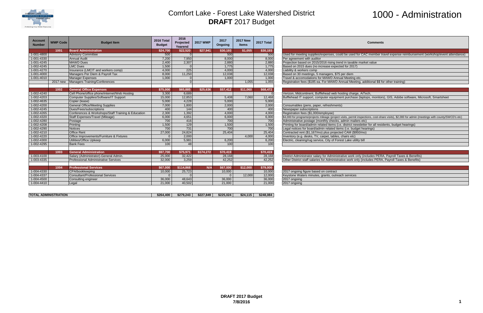

# 1000 - Administration

<sup>1</sup> ad for CAC member travel expense reimbursement (workshop/event attendance)

arge, AiTech,<br>lase (laptops, monitors), GIS, Adobe software, Microsoft, Smartsheet

mit inspections, cost-share visits), \$2,000 for admin (meetings with county/SWCD's etc)

| <b>Account</b><br><b>Number</b> | <b>WMP Code</b> | <b>Budget Item</b>                                 | 2016 Total<br><b>Budget</b> | 2016<br>Projected<br>Yearend | <b>2017 WMP</b> | 2017<br>Ongoing | <b>2017 New</b><br><b>Items</b> | 2017 Total | Comments                                                                                                             |
|---------------------------------|-----------------|----------------------------------------------------|-----------------------------|------------------------------|-----------------|-----------------|---------------------------------|------------|----------------------------------------------------------------------------------------------------------------------|
|                                 | 1001            | <b>Board Administration</b>                        | \$24,700                    | \$22,520                     | \$27,941        | \$30,193        | \$1,055                         | \$30,193   |                                                                                                                      |
| 1-001-4800                      |                 | <b>Advisory Committee</b>                          | 500                         |                              |                 | 500             |                                 | 500        | Used for meeting supplies/expenses, could be used for CAC member travel expense reimburseme                          |
| 1-001-4330                      |                 | <b>Annual Audit</b>                                | 7,200                       | 7,950                        |                 | 8,000           |                                 | 8,000      | Per agreement with auditor                                                                                           |
| $1 - 001 - 4245$                |                 | <b>MAWD Dues</b>                                   | 2,400                       | 2,307                        |                 | 2,880           |                                 | 2,880      | Projection based on 2015/2016 rising trend in taxable market value                                                   |
| 1-002-4245                      |                 | <b>LMC Dues</b>                                    | 1,500                       |                              |                 | 1,775           |                                 | 1,775      | Based on 2015 dues (no increase expected for 2017)                                                                   |
| 1-001-4270                      |                 | Insurance (LMCIT and workers comp)                 | 4,000                       | 225                          |                 | 4,000           |                                 | 4,000      | Liability & workers comp                                                                                             |
| 1-001-4000                      |                 | Managers Per Diem & Payroll Tax                    | 8.000                       | 11,250                       |                 | 12,038          |                                 | 12,038     | Based on 30 meetings, 5 managers, \$75 per diem                                                                      |
| $1 - 001 - 4010$                |                 | <b>Manager Expenses</b>                            | 1,000                       |                              |                 | 1,000           |                                 | 1,000      | Travel & accomodations for MAWD Annual Meeting etc.                                                                  |
|                                 | 2017 new        | Managers Training/Conferences                      |                             |                              |                 |                 | 1,055                           | 1,055      | Registration fees (\$185 ea. For MAWD Annual Meeting, additional \$\$ for other training)                            |
|                                 |                 |                                                    |                             |                              |                 |                 |                                 |            |                                                                                                                      |
|                                 | 1002            | <b>General Office Expenses</b>                     | \$75,000                    | \$65,885                     | \$25,636        | \$57,412        | \$11,060                        | \$68,472   |                                                                                                                      |
| 1-002-4240                      |                 | Cell Phone/office phone/internet/Web Hosting       | 3,300                       | 6,689                        |                 |                 |                                 |            | Verizon, Midcontinent, Bufflehead web hosting charge, AiTech,                                                        |
| 1-002-4203                      |                 | Computer Supplies/Software/IT Support              | 15,000                      | 12,853                       |                 | 5,408           | 7,060                           | 12,468     | Bufflehead IT support, computer equipment purchase (laptops, monitors), GIS, Adobe software, Mi                      |
| 1-002-4635                      |                 | Copier (lease)                                     | 5,000                       | 4,228                        |                 | 5,000           |                                 | 5,000      |                                                                                                                      |
| 1-002-4200                      |                 | <b>General Office/Meeting Supplies</b>             | 7,000                       | 1,800                        |                 | 2,000           |                                 | 2,000      | Consumables (pens, paper, refreshments)                                                                              |
| 1-002-4245                      |                 | Dues/Fees/subscriptions                            | 400                         | 144                          |                 | 400             |                                 | 400        | Newspaper subscriptions                                                                                              |
| 1-002-4265                      |                 | Conferences & Workshops/Staff Training & Education | 2,300                       | 1,392                        |                 | 4,000           |                                 | 4,000      | Registration fees (\$1,000/employee)                                                                                 |
| 1-002-4320                      |                 | Staff Expenses/Travel (Mileage)                    | 6,000                       | 4,651                        |                 | 6,000           |                                 | 6,000      | \$4,000 for programs/projects mileage (project visits, permit inspections, cost-share visits), \$2,000 for admin (mo |
| 1-002-4280                      |                 | Postage                                            | 700                         | 416                          |                 | 700             |                                 | 700        | Administrative postage (monthly checks, admin mailers etc)                                                           |
| 1-002-4208                      |                 | Printing                                           | 1,500                       | 129                          |                 | 1,500           |                                 | 1,500      | Printing for board/admin related items (i.e. district newsletter for all residents, budget hearings)                 |
| 1-002-4290                      |                 | <b>Notices</b>                                     | 700                         | 731                          |                 | 700             |                                 | 700        | Legal notices for board/admin related items (i.e. budget hearings)                                                   |
| 1-002-4210                      |                 | <b>Office Rent</b>                                 | 27,000                      | 24,824                       |                 | 25,404          |                                 | 25,404     | Contracted rent (\$1,167/mo) plus projected CAM (\$950/mo)                                                           |
| 1-002-4220                      |                 | Office Improvements/Furniture & Fixtures           | $\Omega$                    | 2,000                        |                 |                 | 4,000                           | 4,000      | Inventory (e.g. desks, TV, carpet, tables, chairs etc)                                                               |
| 1-002-4300                      |                 | Utilities/Office Upkeep                            | 6,000                       | 5,981                        |                 | 6,200           |                                 | 6,200      | Electric, cleaning/rug service, City of Forest Lake utility bill                                                     |
| 1-002-4295                      |                 | <b>Bank Fees</b>                                   | 100                         | 48                           |                 | 100             |                                 | 100        |                                                                                                                      |
|                                 |                 |                                                    |                             |                              |                 |                 |                                 |            |                                                                                                                      |
|                                 | 1003            | <b>General Administration</b>                      | \$97,700                    | \$75,971                     | \$174,272       | \$70,419        |                                 | \$70,419   |                                                                                                                      |
| 1-003-4100                      |                 | Salary (Administrator)-General Admin.              | 25,000                      | 32,422                       |                 | 28,168          |                                 | 28,168     | District Administrator salary for Administrative work only (includes PERA, Payroll Taxes & Benefits)                 |
| 1-003-4335                      |                 | <b>Professional Administrative Services</b>        | 32.000                      | 3,259                        |                 | 42.252          |                                 | 42.252     | Other District staff salaries for Administrative work only (includes PERA, Payroll Taxes & Benefits)                 |
|                                 |                 |                                                    |                             |                              |                 |                 |                                 |            |                                                                                                                      |
|                                 | 1004            | <b>Professional Services</b>                       | \$67,000                    | \$114,868                    | N/A             | \$67,000        | \$12,000                        | \$79,000   |                                                                                                                      |
| 1-004-4330                      |                 | CPA/bookkeeping                                    | 10.000                      | 25.723                       |                 | 10.000          |                                 | 10,000     | 2017 ongoing figure based on contract                                                                                |
| 1-004-4337                      |                 | <b>Consultant/Professional Services</b>            | $\Omega$                    |                              |                 | $\Omega$        | 12,000                          | 12,000     | Keystone Waters minutes, grants, outreach services                                                                   |
| 1-004-4500                      |                 | Consulting engineer                                | 36,000                      | 48,643                       |                 | 36,000          |                                 | 36,000     | 2017 ongoing                                                                                                         |
| 1-004-4410                      |                 | Legal                                              | 21,000                      | 40,502                       |                 | 21,000          |                                 | 21,000     | 2017 ongoing                                                                                                         |
|                                 |                 |                                                    |                             |                              |                 |                 |                                 |            |                                                                                                                      |

| \$264.400<br>\$225.024<br>\$24,115<br><b>ADMINISTRATION</b><br>\$279.243<br>\$227.849<br><b>TOTAL</b> |  |  |  |           |
|-------------------------------------------------------------------------------------------------------|--|--|--|-----------|
|                                                                                                       |  |  |  | 248.084ءَ |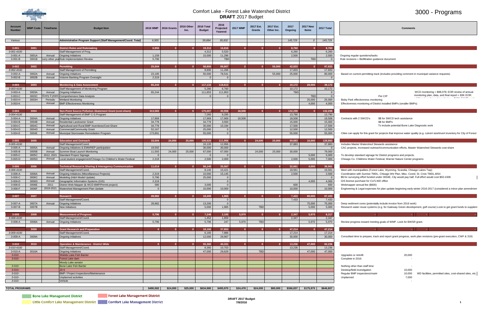

# 3000 - Programs

| <b>Account</b><br><b>Number</b> | <b>WMP Code</b> | Timeframe        | <b>Budget Item</b>                                                             |                  | 2016 WMP   2016 Grants | 2016 Other<br>Inc. | 2016 Total<br><b>Budget</b> | 2016<br>Projected<br>Yearend | <b>2017 WMP</b> | 2017 Est.<br>Grants | 2017 Est.<br>Other Inc. | 2017<br>Ongoing  | <b>2017 New</b><br>Items | 2017 Total        | <b>Comments</b>                                                                                                                                                                           |
|---------------------------------|-----------------|------------------|--------------------------------------------------------------------------------|------------------|------------------------|--------------------|-----------------------------|------------------------------|-----------------|---------------------|-------------------------|------------------|--------------------------|-------------------|-------------------------------------------------------------------------------------------------------------------------------------------------------------------------------------------|
| Various                         |                 |                  | Administrative Program Support (Staff Management/Coord. Total)                 | 6,955            |                        |                    | 59,884                      | 95,832                       |                 |                     |                         | 145,729          | $\overline{0}$           | 145,729           |                                                                                                                                                                                           |
| $3 - 001$                       | 3001            |                  | <b>District Rules and Rulemaking</b>                                           | 6,955            | $\overline{0}$         |                    | 19,312                      | 16,816                       |                 |                     |                         | 8,760            | $\mathbf{0}$             | 8,760             |                                                                                                                                                                                           |
| 3-001-4100                      |                 |                  | Staff Management of Prog                                                       |                  |                        |                    | 4,312                       | 5,520                        |                 |                     |                         | 6,260            |                          | 6,260             |                                                                                                                                                                                           |
| $3-001-A$                       | 3001A           | Annual           | <b>Ongoing Initiatives</b>                                                     | 1.159            |                        |                    | 15,000                      | 11,296                       |                 |                     |                         | 2,500            |                          | 2,500             | Ongoing regular questions/tasks                                                                                                                                                           |
| $3-001-B$                       | 3001B           |                  | very other yea Rule Implementation Review                                      | 5,796            |                        |                    |                             | <b>TBD</b>                   |                 |                     |                         |                  | <b>TBD</b>               |                   | Rule revisions + Biofiltration guidance document                                                                                                                                          |
| $3 - 002$                       | 3002            |                  | <b>Permitting</b>                                                              | 25,504           | $\Omega$               |                    | 58,800                      | 89,807                       |                 |                     | 55,000                  | 42,833           | $\Omega$                 | 97,833            |                                                                                                                                                                                           |
| 3-002-4100                      |                 |                  | Staff Management of Permitting                                                 |                  |                        |                    | 8,800                       | 11,266                       |                 |                     |                         | 17,833           |                          | 17,833            |                                                                                                                                                                                           |
| $3-002-A$<br>$3-002 - B$        | 3002A<br>3002B  | Annual<br>Annual | <b>Ongoing Initiatives</b>                                                     | 23,185<br>2,319  |                        |                    | 50,000<br>$\Omega$          | 78,541                       |                 |                     | 55,000                  | 25,000           |                          | 80,000            | Based on current permitting track (includes providing comment in municipal variance requests)                                                                                             |
|                                 |                 |                  | Volume Banking Program Oversight                                               |                  |                        |                    |                             |                              |                 |                     |                         |                  |                          |                   |                                                                                                                                                                                           |
| $3 - 003$                       | 3003            |                  | <b>Monitoring &amp; Data Assessment</b>                                        | 65,244           |                        |                    | 117,133                     | 118,613                      |                 |                     |                         | 10,172           | 29,000                   | 39,172            |                                                                                                                                                                                           |
| 3-003-4100                      |                 |                  | Staff Management of Monitoring Program                                         |                  |                        |                    | 5,280                       | 6,760                        |                 |                     |                         | 10,172           |                          | 10,172            |                                                                                                                                                                                           |
| $3-003-A$<br>3-003-C            | 3003A<br>3003C  | Annual           | <b>Ongoing Initiatives</b><br>Every 3 years Comprehensive Data Analysis        | 65,244           |                        |                    | 111,853                     | 111,853                      |                 |                     |                         | <b>TBD</b>       | <b>TBD</b>               |                   | WCD monitoring = \$88,078; EOR review of annual<br>monitoring plan, data, and final report = \$3K EOR:<br>Per CIP                                                                         |
| 3-003-H                         | 3003H           | Periodic         | <b>Wetland Monitoring</b>                                                      |                  |                        |                    |                             |                              |                 |                     |                         |                  | 25,000                   | 25,000            | the company's company's company's<br>. <del>. .</del><br>Bixby Park effectiveness monitoring                                                                                              |
| $3 - 003 - K$                   |                 | Annual           | <b>BMP Effectiveness Monitoring</b>                                            |                  |                        |                    |                             |                              |                 |                     |                         |                  | 4,000                    | 4,000             | Effectiveness monitoring of District installed BMPs (smaller BMPs)                                                                                                                        |
| $3 - 004$                       | 3004            |                  | Non-Point Source Pollution Abatement Grant (cost-share)                        | 313,583          |                        |                    | 175,007                     | 40,958                       | 18,508          |                     |                         | 132,298          |                          | 132,298           |                                                                                                                                                                                           |
| 3-004-4100                      |                 |                  | Staff Management of BMP C-S Program                                            |                  |                        |                    | 7,260                       | 9,295                        |                 |                     |                         | 13,790           |                          | 13,790            |                                                                                                                                                                                           |
| $3-004-A$                       | 3004A           | Annual           | <b>Ongoing Initiatives</b>                                                     | 17,969           |                        |                    | 17,969                      | 17,969                       | 18,508          |                     |                         | 18,508           |                          | 18,508            | Contracts with 2 SWCD's<br>\$\$ for SWCD tech assistance                                                                                                                                  |
| $3-004-B$                       | 3004B           | Annual           | <b>Residential Landowner Grant</b>                                             | 34,778           |                        |                    | 34,778                      | 3,500                        |                 |                     |                         | 15,000           |                          | 15,000            | \$\$ for BMPs                                                                                                                                                                             |
| 3-004-C<br>$3-004-D$            | 3004C<br>3004D  | Annual<br>Annual | Agricultural and Rural BMP Incentives/Cost-Share<br>Commercial/Community Grant | 34,778<br>52,167 |                        |                    | 35,000<br>25,000            | 10,194<br>$\Omega$           |                 |                     |                         | 17,500<br>12,500 |                          | 17,500<br>12,500  | To include potential Bone Lake Diagnostic work                                                                                                                                            |
| 3-004-E                         | 3004E           | Annual           | Municipal Stormwater Remediation Program                                       | 173,891          |                        |                    | 55,000                      | $\overline{0}$               |                 |                     |                         | 55,000           |                          | 55,000            | Cities can apply for this grant for projects that improve water quality (e.g. culvert size/invert inventory for City of Forest                                                            |
|                                 |                 |                  |                                                                                |                  |                        |                    |                             |                              |                 |                     |                         |                  |                          |                   |                                                                                                                                                                                           |
| $3 - 005$<br>3-005-4100         | 3005            |                  | <b>Education and Outreach</b><br>Staff Management/Coord.                       | 33,504           | 24,000                 | 25,000             | 109,620<br>10,120           | 111,956<br>12,956            |                 | 24,000              | 25,000                  | 69,883<br>37,883 | 10,000                   | 128,883<br>37,883 |                                                                                                                                                                                           |
| $3-005-A$                       | 3005A           | Annual           | Ongoing initiatives & EMWREP participation                                     | 19,592           |                        |                    | 30,000                      | 30,000                       |                 |                     |                         |                  |                          |                   | Includes Master Watershed Stewards assistance<br>CAC projects, Increased outreach/communication efforts, Master Watershed Stewards cost-share                                             |
| $3 - 005 - B$                   | 3005B           | Annual           | Summer Boat Launch Monitoring                                                  | 11,593           | 24,000                 | 25,000             | 67,000                      | 67,000                       |                 | 24,000              | 25,000                  | 30,000           |                          | 79,000            |                                                                                                                                                                                           |
| 3-005-C                         | 3005C           |                  | 2012, 2021 Standard Project Signage                                            | $\overline{0}$   |                        |                    | $\Omega$                    |                              |                 |                     |                         |                  | 5,000                    | 5,000             | To develop standard signage for District programs and projects.                                                                                                                           |
| $3 - 005 - D$                   | 3005D           | Annual           | Local student engagement/Chisago Co Children's Water Festival                  | 2,319            |                        |                    | 2,500                       | 2,000                        |                 |                     |                         | 2,000            | 5,000                    | 7,000             | Chisago Co. Childrens Water Festival, Warner Nature Center programs                                                                                                                       |
| $3 - 006$                       | 3006            |                  | <b>Technical Resource Sharing &amp; Interagency Communication</b>              | 11,014           | $\overline{0}$         |                    | 56,140                      | 35,567                       |                 | $\Omega$            |                         | 32,661           | 4,000                    | 36,661            |                                                                                                                                                                                           |
| 3-006-4100                      | 3006A           |                  | Staff Management/Coord                                                         | 2,319            |                        |                    | 8,140<br>10,000             | 10,421                       |                 |                     |                         | 19,561           |                          | 19,561            | Meet with municipalities (Forest Lake, Wyoming, Scandia, Chisago Lakes Twp)                                                                                                               |
| $3-006-A$<br>3-006-C            | 3006C           | Annual<br>Annual | Ongoing Initiatives (Miscellaneous Projects)<br>Modeling (H&H Model Update)    | 5,796            |                        |                    | 25,000                      | 15,145<br>$\Omega$           |                 |                     |                         | 2,500            |                          | 2,500             | Coordination with Sunrise TMDL, Chisago Wtr Plan, Misc. Coord, St. Croix TMDL, MS4<br>\$\$ for surveying effort funded under 3004E, City would pay half. Full effort would cost \$50-100K |
| $3-006-D$                       | 3006D           | Annual           | Geographic Information Systems (GIS)                                           | 2,319            |                        |                    |                             |                              |                 |                     |                         |                  | 4,000                    | 4,000             | GIS license purchase for CLFLWD office                                                                                                                                                    |
| 3-006-E                         | 3006E           | 2011             | District Web Mapper (& WCD BMP/Permit project)                                 | 580              |                        |                    | 3,000                       | $\Omega$                     |                 |                     |                         | 600              |                          | 600               | Webmapper annual fee (\$600)                                                                                                                                                              |
| 3-006-F                         | 3006F           |                  | 2019-2021 Watershed Management Plan Update                                     | $\Omega$         |                        |                    | 10,000                      | 10,000                       |                 |                     |                         | 10,000           |                          | 10,000            | Engineering & Legal expenses for plan update beginning early winter 2016-2017 (considered a minor plan amendmen                                                                           |
| $3 - 007$                       | 3007            |                  | <b>Research</b>                                                                | 28,982           |                        |                    | 18.200                      | 1,965                        |                 |                     |                         | 7.433            | 80,000                   | 87.433            |                                                                                                                                                                                           |
|                                 |                 |                  | Staff Management/Coord.                                                        |                  |                        |                    |                             | $\overline{0}$               |                 |                     |                         | 7,433            |                          | 7,433             |                                                                                                                                                                                           |
| 3-007-A                         | 3007A           | Annual           | Ongoing Initiatives                                                            | 28,982           |                        |                    | 13,200                      | $\Omega$<br>1,965            |                 | <b>TBD</b>          |                         |                  | 75,000<br>5,000          | 75,000            | Deep sediment cores (potentially include invoice from 2016 work)                                                                                                                          |
| 3-007-B                         | 3007B           |                  | <b>New Initiatives</b>                                                         |                  |                        |                    | 5,000                       |                              |                 |                     |                         |                  |                          | 5,000             | Research water reuse systems (e.g. for Gateway Green development, golf course) Look to get grant funds to supplem                                                                         |
| $3 - 008$                       | 3008            |                  | <b>Measurement of Progress</b>                                                 | 5,796            |                        |                    | 7,248                       | 2,105                        | 5,970           | $\Omega$            |                         | 2,347            | 5,970                    | 8,317             | Albert Co<br><b>Section</b><br><b>College</b>                                                                                                                                             |
| 3-008-4100                      |                 |                  | Staff Management/Coord.                                                        |                  |                        |                    | 1,452                       | 1,859                        |                 |                     |                         | 2,347            |                          | 2,347             |                                                                                                                                                                                           |
| 3-008-A                         | 3008A           | Annual           | Ongoing Initiatives                                                            | 5,796            |                        |                    | 5,796                       | 247                          | 5,970           | <b>TBD</b>          |                         |                  | 5,970                    | 5,970             | Review progress toward meeting goals of WMP. Look for BWSR grant.                                                                                                                         |
|                                 | 3009            |                  | <b>Grant Research and Preparation</b>                                          |                  | $\Omega$               |                    | 18,160                      | 37,853                       |                 | $\mathbf{0}$        |                         | 47,214           |                          | 47,214            | ALC: U                                                                                                                                                                                    |
| 3-009-4100                      |                 |                  | Staff Management/Coord.                                                        |                  |                        |                    | 6,160                       | 7,886                        |                 |                     |                         | 17,214           |                          | 17,214            |                                                                                                                                                                                           |
| 3-009-A                         | 3009A           |                  | <b>Ongoing Initiatives</b>                                                     |                  |                        |                    | 12,000                      | 29,967                       |                 |                     |                         | 30,000           |                          | 30,000            | Consultant time to prepare, track and report grant progress, work plan revisions (pre-grant execution, CWF & 319)                                                                         |
| $3 - 010$                       | 3010            |                  | <b>Operation &amp; Maintenance - District Wide</b>                             |                  | $\Omega$               |                    | 55,360                      | 40,331                       |                 | $\mathbf{0}$        |                         | 13,236           | 47,000                   | 60,236            |                                                                                                                                                                                           |
| 3-010-4100                      |                 |                  | Staff Management/Coord.                                                        |                  |                        |                    | 8,360                       | 10,703                       |                 |                     |                         | 13,236           |                          | 13,236            |                                                                                                                                                                                           |
| $3-010-A$                       | 3010A           |                  | Ongoing Initiatives                                                            |                  |                        |                    | 47,000                      | 29,629                       |                 | <b>TBD</b>          |                         |                  | 47,000                   | 47,000            |                                                                                                                                                                                           |
| $3 - 010 -$<br>$3 - 010 -$      |                 |                  | Shields Lake Fish Barrier<br>Forest Lake dam                                   |                  |                        |                    |                             |                              |                 |                     |                         |                  |                          |                   | 20,000<br>Upgrades or retrofit<br>Complete in 2016                                                                                                                                        |
|                                 |                 |                  | Moody Lake aerator                                                             |                  |                        |                    |                             |                              |                 |                     |                         |                  |                          |                   |                                                                                                                                                                                           |
| $3 - 010 -$                     |                 |                  | <b>Bone Lake Fish Barrier</b>                                                  |                  |                        |                    |                             |                              |                 |                     |                         |                  |                          |                   | Nothing other than staff time                                                                                                                                                             |
| $3 - 010 -$                     |                 |                  | JD6                                                                            |                  |                        |                    |                             |                              |                 |                     |                         |                  |                          |                   | Desktop/field investigation<br>10,000                                                                                                                                                     |
| $3 - 010 -$<br>$3 - 010 -$      |                 |                  | BMP / Project Inspections/Maintenance<br>Unplanned activities                  |                  |                        |                    |                             |                              |                 |                     |                         |                  |                          |                   | Regular BMP inspections/maint<br>10,000<br>WD facilities, permitted sites, cost-shared sites, etc.<br>7,000<br>Unplanned                                                                  |
| $3 - 010 -$                     |                 |                  | Vehicle                                                                        |                  |                        |                    |                             |                              |                 |                     |                         |                  |                          |                   |                                                                                                                                                                                           |
|                                 |                 |                  |                                                                                |                  |                        |                    |                             |                              |                 |                     |                         |                  |                          |                   |                                                                                                                                                                                           |
| <b>TOTAL PROGRAMS</b>           |                 |                  |                                                                                | \$490.582        | \$24,000               | \$25,000           | \$634,980                   | \$495,970                    | \$24,478        | \$24,000            | \$80,000                |                  | $$366,837$ $$175,970$    | \$646,807         |                                                                                                                                                                                           |

**Bone Lake Management District** 

Forest Lake Management District

|                                                                                                                                                                                                                                                                                                                                                    | <b>Comments</b>                                                                                  |                                                                                                                                |
|----------------------------------------------------------------------------------------------------------------------------------------------------------------------------------------------------------------------------------------------------------------------------------------------------------------------------------------------------|--------------------------------------------------------------------------------------------------|--------------------------------------------------------------------------------------------------------------------------------|
|                                                                                                                                                                                                                                                                                                                                                    |                                                                                                  |                                                                                                                                |
|                                                                                                                                                                                                                                                                                                                                                    |                                                                                                  |                                                                                                                                |
| Ongoing regular questions/tasks<br>Rule revisions + Biofiltration guidance document                                                                                                                                                                                                                                                                |                                                                                                  |                                                                                                                                |
| Based on current permitting track (includes providing comment in municipal variance requests)                                                                                                                                                                                                                                                      |                                                                                                  |                                                                                                                                |
|                                                                                                                                                                                                                                                                                                                                                    |                                                                                                  |                                                                                                                                |
| Bixby Park effectiveness monitoring<br>Effectiveness monitoring of District installed BMPs (smaller BMPs)                                                                                                                                                                                                                                          | Per CIP                                                                                          | WCD monitoring = \$88,078; EOR review of annual<br>monitoring plan, data, and final report $= $3K EOR$ :                       |
|                                                                                                                                                                                                                                                                                                                                                    |                                                                                                  |                                                                                                                                |
| Contracts with 2 SWCD's                                                                                                                                                                                                                                                                                                                            | \$\$ for SWCD tech assistance<br>\$\$ for BMPs<br>To include potential Bone Lake Diagnostic work |                                                                                                                                |
|                                                                                                                                                                                                                                                                                                                                                    |                                                                                                  | Cities can apply for this grant for projects that improve water quality (e.g. culvert size/invert inventory for City of Forest |
| Includes Master Watershed Stewards assistance                                                                                                                                                                                                                                                                                                      |                                                                                                  |                                                                                                                                |
| CAC projects, Increased outreach/communication efforts, Master Watershed Stewards cost-share                                                                                                                                                                                                                                                       |                                                                                                  |                                                                                                                                |
| To develop standard signage for District programs and projects.<br>Chisago Co. Childrens Water Festival, Warner Nature Center programs                                                                                                                                                                                                             |                                                                                                  |                                                                                                                                |
| Meet with municipalities (Forest Lake, Wyoming, Scandia, Chisago Lakes Twp)<br>Coordination with Sunrise TMDL, Chisago Wtr Plan, Misc. Coord, St. Croix TMDL, MS4<br>\$\$ for surveying effort funded under 3004E, City would pay half. Full effort would cost \$50-100K<br>GIS license purchase for CLFLWD office<br>Webmapper annual fee (\$600) |                                                                                                  | Engineering & Legal expenses for plan update beginning early winter 2016-2017 (considered a minor plan amendmen                |
|                                                                                                                                                                                                                                                                                                                                                    |                                                                                                  |                                                                                                                                |
| Deep sediment cores (potentially include invoice from 2016 work)                                                                                                                                                                                                                                                                                   |                                                                                                  | Research water reuse systems (e.g. for Gateway Green development, golf course) Look to get grant funds to supplem              |
| ÷<br>Review progress toward meeting goals of WMP. Look for BWSR grant.                                                                                                                                                                                                                                                                             | ÷,                                                                                               | ÷.                                                                                                                             |
|                                                                                                                                                                                                                                                                                                                                                    |                                                                                                  |                                                                                                                                |
|                                                                                                                                                                                                                                                                                                                                                    |                                                                                                  | Consultant time to prepare, track and report grant progress, work plan revisions (pre-grant execution, CWF & 319)              |
|                                                                                                                                                                                                                                                                                                                                                    |                                                                                                  |                                                                                                                                |
| Upgrades or retrofit<br>Complete in 2016                                                                                                                                                                                                                                                                                                           | 20,000                                                                                           |                                                                                                                                |
| Nothing other than staff time<br>Desktop/field investigation<br>Regular BMP inspections/maint<br><b>Unnlanned</b>                                                                                                                                                                                                                                  | 10,000<br>10,000<br>7.000                                                                        | WD facilities, permitted sites, cost-shared sites, etc.                                                                        |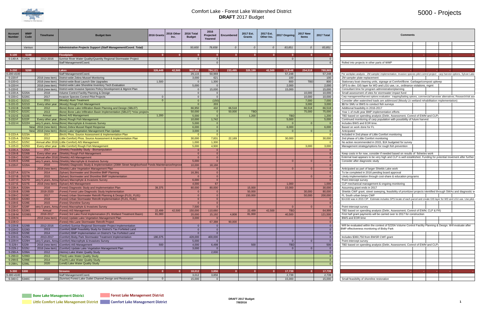

## 5000 - Projects

| Comments                                                                                                                                                      |  |  |
|---------------------------------------------------------------------------------------------------------------------------------------------------------------|--|--|
|                                                                                                                                                               |  |  |
|                                                                                                                                                               |  |  |
|                                                                                                                                                               |  |  |
|                                                                                                                                                               |  |  |
| Rolled into projects in other parts of WMP                                                                                                                    |  |  |
|                                                                                                                                                               |  |  |
|                                                                                                                                                               |  |  |
| Per workplan analysis - ZM sampler implementation, invasive species pilot control project - carp harvest options, Sylvan Lake                                 |  |  |
| ZM sampler plate replacement                                                                                                                                  |  |  |
| Stationary boat cleaning units, signage at Comfort/Bone. Garbage/compost upkeep<br>GPS to dev. GIS layer for WD and LGU use, i.e., ordinance violations, mgmt |  |  |
| Consultant time for program administration/planning                                                                                                           |  |  |
| Small assessment of sites for stormwater impact fund                                                                                                          |  |  |
| Carp management/harvest options evaluation - trapping/baiting options, commercial harvester alternatives; Research/risk ass                                   |  |  |
| Consider after watershed loads are addressed (Moody Lk wetland rehabilitation implementation)                                                                 |  |  |
| \$\$ for SMU or BWS to conduct fish surveys                                                                                                                   |  |  |
| Additional feasibility in 2016-2017                                                                                                                           |  |  |
| Year 1 of multi-year BMP implementation efforts                                                                                                               |  |  |
| TBD based on spending analysis (Delin, Assessment, Control of EWM and CLP)                                                                                    |  |  |
| Continued monitoring of carp population with possibility of future harvest                                                                                    |  |  |
| Includes BWS and EOR time.                                                                                                                                    |  |  |
| Based on work done for FL                                                                                                                                     |  |  |
| Anticipated                                                                                                                                                   |  |  |
| Included in 2nd phase of Little Comfort monitoring                                                                                                            |  |  |
| 2nd phase of Little Comfort monitoring                                                                                                                        |  |  |
| No action recommended in 2015, \$1K budgeted for survey                                                                                                       |  |  |
| Management strategy/options for rough fish prevention                                                                                                         |  |  |
|                                                                                                                                                               |  |  |
| Keep costs in for now, consider if needed based on results of fisheries work                                                                                  |  |  |
| External load appears to be very high and CLP is well established. Funding for potential treatment after further<br>Consider after diagnostic study           |  |  |
|                                                                                                                                                               |  |  |
| Anticipated as part of larger Shields Lake work                                                                                                               |  |  |
| To be completed in 2016 pending board approval                                                                                                                |  |  |
| Likely implementation through cost-share & education programs                                                                                                 |  |  |
| Point intercept survey                                                                                                                                        |  |  |
| CLP mechanical management & ongoing monitoring                                                                                                                |  |  |
| Assuming grant ends in 2017                                                                                                                                   |  |  |
| Shields CWF grant, street sweeping, feasibility of prioritized projects identified through SWAs and diagnostic w                                              |  |  |
| FL South urban bmps CWF                                                                                                                                       |  |  |
| \$14,632 was in 2015 CIP. Estimate includes GPS locate of each parcel and create GIS layer for WD and LGU use. Use pilot of                                   |  |  |
|                                                                                                                                                               |  |  |
| Point-intercept survey                                                                                                                                        |  |  |
| TBD based on spending analysis (Delin, Assessment, Control of EWM, CLP & FR)                                                                                  |  |  |
| First half grant payments will be carried over to 2017 for construction                                                                                       |  |  |
| BWS and EOR time                                                                                                                                              |  |  |
|                                                                                                                                                               |  |  |
| Will be evaluated within the context of 5220A Volume Control Facility Planning & Design. Will evaluate after<br>BMP effectiveness monitoring of Bixby Park    |  |  |
|                                                                                                                                                               |  |  |
|                                                                                                                                                               |  |  |
| Includes \$360,750 from BWSR CWF grant                                                                                                                        |  |  |
| Point-intercept survey<br>TBD based on spending analysis (Delin, Assessment, Control of EWM and CLP)                                                          |  |  |
|                                                                                                                                                               |  |  |
|                                                                                                                                                               |  |  |
|                                                                                                                                                               |  |  |
|                                                                                                                                                               |  |  |
|                                                                                                                                                               |  |  |
|                                                                                                                                                               |  |  |
|                                                                                                                                                               |  |  |
|                                                                                                                                                               |  |  |
| Small feasibility of shoreline restoration                                                                                                                    |  |  |
|                                                                                                                                                               |  |  |

| <b>Account</b><br><b>Number</b>      | Code    | <b>Timeframe</b>     | Budget Item                                                                                                                                              | 2016 Grants | 2016 Other | 2016 Total<br><b>Budget</b> | 2016<br>Projected<br>Yearend                        | <b>Encumbered</b> | 2017 Est.<br>Grants | 2017 Est.<br>Other Inc. | 2017 Ongoing    | <b>2017 New</b><br>Items | 2017 Total       | <b>Comments</b>                                                                                                                                            |
|--------------------------------------|---------|----------------------|----------------------------------------------------------------------------------------------------------------------------------------------------------|-------------|------------|-----------------------------|-----------------------------------------------------|-------------------|---------------------|-------------------------|-----------------|--------------------------|------------------|------------------------------------------------------------------------------------------------------------------------------------------------------------|
|                                      | Various |                      | Administrative Projects Support (Staff Management/Coord. Total)                                                                                          |             |            | 50,600                      | 78,658                                              |                   |                     |                         | 83,851          |                          | 83,851           |                                                                                                                                                            |
|                                      |         |                      |                                                                                                                                                          |             |            |                             |                                                     |                   |                     |                         |                 |                          |                  |                                                                                                                                                            |
| $5 - 100$                            | 5100    |                      | <b>Floodplain</b>                                                                                                                                        |             |            |                             |                                                     |                   |                     |                         |                 |                          |                  | <b>Contract</b>                                                                                                                                            |
| 5-140-A 5140A                        |         | 2012-2016            | Sunrise River Water Quality/Quantity Regional Stormwater Project                                                                                         |             |            |                             |                                                     |                   |                     |                         |                 |                          |                  |                                                                                                                                                            |
|                                      |         |                      | Staff Management/Coord.                                                                                                                                  |             |            |                             |                                                     |                   |                     |                         |                 |                          |                  | Rolled into projects in other parts of WMP                                                                                                                 |
| $5 - 200$                            | 5200    |                      | Lakes                                                                                                                                                    | 326,449     | 42.500     | 960,956                     | 784,121                                             | 233,495           | 320,199             | 42,500                  | 172,648         | 254,518                  | 789,865          |                                                                                                                                                            |
| 5-200-4100                           |         |                      | Staff Management/Coord.                                                                                                                                  |             |            | 29,115                      | 50,969                                              |                   |                     |                         | 57,248          |                          | 57,248           | Per workplan analysis - ZM sampler implementation, invasive species pilot control project - carp harvest options, Sylvan Lake                              |
| 5-220-F                              |         | 2016 (new item)      | District-wide Zebra Mussel Monitoring                                                                                                                    |             |            | 3,000                       | 621                                                 |                   |                     |                         | 100             |                          | 100              | ZM sampler plate replacement                                                                                                                               |
| 5-220-G                              |         | 2016 (new item)      | District-wide Boat Launch Site Upgrades                                                                                                                  | 1,500       |            |                             | 1,300                                               |                   |                     |                         | 800             | <b>TBD</b>               | 800              | Stationary boat cleaning units, signage at Comfort/Bone. Garbage/compost upkeep                                                                            |
| 5-220-H<br>5-220-E                   |         |                      | 2016 (new item) District-wide Lake Shoreline Inventory Tech Evaluation<br>2016 (new item) District-wide Invasive Species Policy Development & Mgmnt Plan |             |            | 5,000                       | 15,000                                              |                   |                     |                         | 2,000<br>15,000 |                          | 2,000<br>15,000  | GPS to dev. GIS layer for WD and LGU use, i.e., ordinance violations, mgmt<br>Consultant time for program administration/planning                          |
| 5-220-A 5220A                        |         | 2018                 | Volume Control Facility Planning & Design                                                                                                                |             |            |                             |                                                     |                   |                     |                         |                 | 10,000                   | 10,000           | Small assessment of sites for stormwater impact fund                                                                                                       |
| 5-220-C 5220C                        |         | 2017                 | Invasive Species Control Pilot Projects                                                                                                                  |             |            |                             | $\Omega$                                            |                   |                     |                         |                 | 10,000                   | 10,000           | Carp management/harvest options evaluation - trapping/baiting options, commercial harvester alternatives; Research/risk ass                                |
| 5-221-C 5221C                        |         | 2011                 | (Moody) Alum Treatment                                                                                                                                   |             |            |                             | (150)                                               |                   |                     |                         |                 | 7,000                    | 7,000            | Consider after watershed loads are addressed (Moody Lk wetland rehabilitation implementation                                                               |
| $5-221-D$ 5221D                      |         | very other year      | (Moody) Rough Fish Management                                                                                                                            |             |            |                             | 203                                                 |                   |                     |                         |                 | 3,000                    | 3,000            | \$\$ for SMU or BWS to conduct fish surveys                                                                                                                |
| 5-222-B 5222B                        |         | 2012                 | (Bone) Bone Lake Infiltration Basin Planning and Design (SBL07)                                                                                          |             |            | 66,950                      | 432                                                 | 66,518<br>50,000  |                     |                         |                 | 66,518                   | 66,518<br>75,000 | Additional feasibility in 2016-2017                                                                                                                        |
| 5-222-C 5222C<br>5-222-E 5222E       |         | 2013<br>Annual       | (Bone) Bone Lake Infiltration Basin Implementation (SBL07) *misc projects                                                                                | 1,200       |            | 50,000<br>5,000             | _റ_                                                 |                   | 1,200               |                         | <b>TRD</b>      | 75,000                   | 1,200            | Year 1 of multi-year BMP implementation efforts                                                                                                            |
| 5-222-F 5222F                        |         |                      | (Bone) AIS Management<br>Every other year ((Bone) Rough Fish Management                                                                                  |             |            | 10,000                      | 1,742                                               |                   |                     |                         | 5,000           |                          | 5,000            | TBD based on spending analysis (Delin, Assessment, Control of EWM and CLP)<br>Continued monitoring of carp population with possibility of future harvest   |
| 5-222-H 5222H                        |         |                      | ery 5 years, Annul (Bone) Macrophyte & Invasives Survey                                                                                                  |             |            | 5,000                       |                                                     |                   |                     |                         |                 |                          |                  | Includes BWS and EOR time.                                                                                                                                 |
|                                      |         |                      | New   2016 (new item) (Bone) Zebra Mussel Rapid Response                                                                                                 |             |            | 6,000                       | $\overline{0}$                                      |                   |                     |                         | 6,000           |                          | 6,000            | Based on work done for FL                                                                                                                                  |
|                                      |         |                      | New   2016 (new item) (Bone) Lake Vegetation Management Plan Update                                                                                      |             |            | 3,000                       | $\overline{\phantom{0}}$ 0 $\overline{\phantom{0}}$ |                   |                     |                         |                 |                          |                  | Anticipated                                                                                                                                                |
| $5-223-A$ $ 5223A$                   |         | 2017                 | Birch) Phos. Source Assessment & Implementation Plan                                                                                                     |             |            |                             | _റ                                                  |                   |                     |                         |                 |                          |                  | Included in 2nd phase of Little Comfort monitoring                                                                                                         |
| $5 - 225 - A$                        | 5225A   | 2012                 | -ittle Comfort) Phos. Source Assessment & Implementation Plan                                                                                            |             |            | 30,000                      | 7,831                                               | 22,169            |                     |                         | 30,000          |                          | 30,000           | 2nd phase of Little Comfort monitoring                                                                                                                     |
| $5-225-C$ 5225C<br>$5-225-D$   5225D |         | Every other year     | nnual after 2016 (Little Comfort) AIS Management<br>(Little Comfort) Rough Fish Management                                                               |             |            | 1,000<br>5,000              | 1,300<br>4,900                                      |                   |                     |                         |                 | 3,000                    | 3,000            | No action recommended in 2015, \$1K budgeted for survey                                                                                                    |
| $5-226-A$ 5226A                      |         | 2017                 | (Shields) Feasibility Study - Biomanipulation                                                                                                            |             |            |                             |                                                     |                   |                     |                         |                 |                          |                  | Management strategy/options for rough fish prevention                                                                                                      |
| 5-226-B 5226B                        |         | Every other year $ $ | Shields) Rough Fish Management                                                                                                                           |             |            |                             |                                                     |                   |                     |                         |                 |                          |                  | Keep costs in for now, consider if needed based on results of  fisheries work                                                                              |
| 5-226-C 5226                         |         |                      | Annual after 2016 (Shields) AIS Management                                                                                                               |             |            |                             |                                                     |                   |                     |                         |                 |                          |                  | External load appears to be very high and CLP is well established. Funding for potential treatment after furthei                                           |
| 5-226-E 5226                         |         |                      | ery 5 years, Annu (Shields) Macrophyte & Invasives Survey                                                                                                |             |            | 5,000                       |                                                     |                   |                     |                         |                 |                          |                  | Consider after diagnostic study                                                                                                                            |
| 5-226-F 5226A                        |         | 2016                 | Shields) Diagnostic Study & Implementation (208th Street Neighborhood Ponds Maintenance/Impro                                                            |             |            | 10,000                      | 18,166                                              |                   |                     |                         |                 |                          |                  |                                                                                                                                                            |
|                                      |         |                      | 2016 (new item)  (Shields) Lake Vegetation Management Plan                                                                                               |             |            |                             |                                                     |                   |                     |                         |                 |                          |                  | Anticipated as part of larger Shields Lake work                                                                                                            |
| 5-227-A 5227A<br>5-227-B 5227B       |         | 2014<br>2015         | Sylvan) Stormwater and Shoreline BMP Planning<br>(Sylvan) Stormwater and Shoreline BMP Implementation                                                    |             |            | 16,391                      |                                                     |                   |                     |                         |                 |                          |                  | To be completed in 2016 pending board approval                                                                                                             |
| 5-227-D 5227D                        |         |                      | ery 5 years, Annu (Sylvan) Macrophyte & Invasives Survey                                                                                                 |             |            | 6,000                       |                                                     |                   |                     |                         |                 |                          |                  | Likely implementation through cost-share & education programs<br>Point intercept survey                                                                    |
| 5-227-E 5227E                        |         |                      | 2016 (new item) (Sylvan) AIS Management                                                                                                                  |             |            | 4,000                       | 67                                                  |                   |                     |                         | 1,000           |                          | 1,000            | CLP mechanical management & ongoing monitoring                                                                                                             |
| 5-228-A 5228A                        |         | 2016                 | (Forest) Diagnostic Study and Implementation Plan                                                                                                        | 39,375      |            | 80,000                      | 80,000                                              |                   | 15,000              |                         | 15,000          |                          | 30,000           | Assuming grant ends in 2017                                                                                                                                |
| 5-228-B 5228B                        |         | 2018-2020            | Forest) Forest Lake Diagnostic Study Implementation                                                                                                      |             |            |                             |                                                     |                   | 50,000              |                         |                 | 30,000                   | 80,000           | Shields CWF grant, street sweeping, feasibility of prioritized projects identified through SWAs and diagnostic w                                           |
| 5-228-C 52280                        |         | 2017                 | (Forest) Urban Stormwater Retrofit Planning & Design (FL01, FL81)                                                                                        |             |            |                             |                                                     |                   | 150,000             |                         |                 | 50,000                   | 200,000          | FL South urban bmps CWF                                                                                                                                    |
| 5-228-D 5228D                        |         | 2018                 | (Forest) Urban Stormwater Retrofit Implementation (FL01, FL81)                                                                                           |             |            |                             |                                                     |                   |                     |                         |                 |                          |                  | \$14,632 was in 2015 CIP. Estimate includes GPS locate of each parcel and create GIS layer for WD and LGU use. Use pilot                                   |
| 5-228-E 5228E<br>5-228-F 5228F       |         | 2015                 | (Forest) Shoreline Survey<br>very 5 years, Annu (Forest) Macrophyte & Invasives Survey                                                                   |             |            | 7,500                       |                                                     |                   |                     |                         |                 |                          |                  | Point-intercept survey                                                                                                                                     |
| 5-228-G 5228G                        |         | Annual               | (Forest) AIS Management                                                                                                                                  | 22,499      | 42,500     | 150,000                     | 110,660                                             |                   | 22,499              | 42,500                  | TBD             |                          | 64,999           | TBD based on spending analysis (Delin, Assessment, Control of EWM, CLP & FR)                                                                               |
| 5-228-M 5228B1                       |         | 2016-2017            | (Forest) 3rd Lake Pond Implemenation (FL Wetland Treatment Basin)                                                                                        | 81,000      |            | 20,000                      | 15,192                                              | 4,808             | 81,000              |                         | 40,500          |                          | 121,500          | First half grant payments will be carried over to 2017 for construction                                                                                    |
| 5-228-N                              |         |                      | 2016 (new item) (Forest) Update Lake Vegetation Management Plan                                                                                          |             |            | 3,000                       |                                                     |                   |                     |                         |                 |                          |                  | BWS and EOR time                                                                                                                                           |
| $5 - 228 - 0$                        |         |                      | (Forest) Hilo Lane Stormwater Retrofit Project                                                                                                           |             |            |                             | 67,388                                              | 90,000            |                     |                         |                 |                          |                  |                                                                                                                                                            |
| 5-229-B 5229B                        |         | 2012-2016            | (Comfort) Sunrise Regional Stormwater Project Implementation                                                                                             |             |            |                             |                                                     |                   |                     |                         |                 |                          |                  | Will be evaluated within the context of 5220A Volume Control Facility Planning & Design. Will evaluate after<br>BMP effectiveness monitoring of Bixby Park |
| 5-229-D 5229D<br>5-229-E 5229E       |         | 2013<br>2014         | (Comfort) BMP Feasibility Study for District's Tax Forfeited Land<br>(Comfort) BMP Implementation on District's Tax Forfeited Land                       |             |            |                             |                                                     |                   |                     |                         |                 |                          |                  |                                                                                                                                                            |
| 5-229-G 5229G                        |         | 2013-2017            | (Comfort) Bixby Park Stormwater Treatment Implementation                                                                                                 | 180,375     |            | 428,000                     | 400,000                                             |                   |                     |                         |                 |                          |                  | Includes \$360,750 from BWSR CWF grant                                                                                                                     |
| 5-229-H 5229H                        |         |                      | very 5 years, Annu (Comfort) Macrophyte & Invasives Survey                                                                                               |             |            | 5,000                       | $\overline{0}$                                      |                   |                     |                         |                 |                          |                  | Point-intercept survey                                                                                                                                     |
| 5-229-1 52291                        |         |                      | 2016 (new item) (Comfort) AIS Management                                                                                                                 | 500         |            | 4,000                       | 6,498                                               |                   | 500                 |                         | <b>TBD</b>      |                          | 500              | TBD based on spending analysis (Delin, Assessment, Control of EWM and CLP)                                                                                 |
| 5-229-J 5229J                        |         |                      | 2016 (new item) (Comfort) Update Lake Vegetation Management Plan                                                                                         |             |            | 3,000                       | <u>െ</u>                                            |                   |                     |                         |                 |                          |                  |                                                                                                                                                            |
| 5-299-A 5299A                        |         | 2012                 | (Heims) Lake Water Quality Study                                                                                                                         |             |            |                             | 2,000                                               |                   |                     |                         |                 |                          |                  |                                                                                                                                                            |
| 5-299-D 5299D                        |         | 2013                 | (Third) Lake Water Quality Study                                                                                                                         |             |            |                             |                                                     |                   |                     |                         |                 |                          |                  |                                                                                                                                                            |
| 5-299-E 5299E                        |         | 2014<br>2020         | (Fourth) Lake Water Quality Study<br>(Lendt) Lake Water Quality Study                                                                                    |             |            |                             |                                                     |                   |                     |                         |                 |                          |                  |                                                                                                                                                            |
| 5-299-L 5299L                        |         |                      |                                                                                                                                                          |             |            |                             |                                                     |                   |                     |                         |                 |                          |                  |                                                                                                                                                            |
| 5-300 5300                           |         |                      | <b>Streams</b>                                                                                                                                           |             |            | 18,012                      | 3,856                                               |                   |                     |                         | 17,739          |                          | 17,739           | the search of the search of the search                                                                                                                     |
| 5-300-4100                           |         |                      | Staff Management/Coord.                                                                                                                                  |             |            | 3,012                       | 3,856                                               |                   |                     |                         | 2,739           |                          | 2,739            |                                                                                                                                                            |
| 5-340-C 5340C                        |         | 2016                 | (Sunrise) Forest Lake Outlet Channel Design and Restoration                                                                                              |             |            | 15,000                      | $\overline{0}$                                      |                   |                     |                         | 15,000          |                          | 15,000           | Small feasibility of shoreline restoration                                                                                                                 |

**EXECUTE: Bone Lake Management District** 

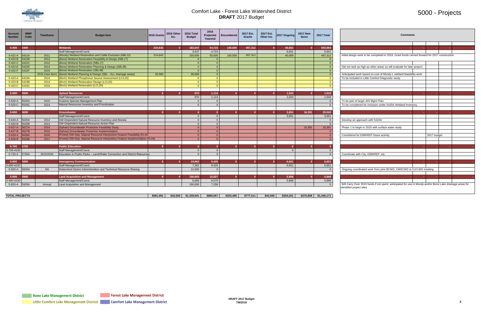

# 5000 - Projects

| <b>Account</b><br><b>Number</b> | <b>WMP</b><br>Code | <b>Timeframe</b> | <b>Budget Item</b>                                                           | 2016 Grants | 2016 Other<br>Inc. | 2016 Total<br><b>Budget</b> | 2016<br><b>Projected</b><br>Yearend | <b>Encumbered</b> | 2017 Est.<br><b>Grants</b> | 2017 Est.<br>Other Inc. | 2017 Onaoina    | <b>2017 New</b><br><b>Items</b> | 2017 Total       | <b>Comments</b>                                                                                           |
|---------------------------------|--------------------|------------------|------------------------------------------------------------------------------|-------------|--------------------|-----------------------------|-------------------------------------|-------------------|----------------------------|-------------------------|-----------------|---------------------------------|------------------|-----------------------------------------------------------------------------------------------------------|
|                                 |                    |                  |                                                                              |             |                    |                             |                                     |                   |                            |                         |                 |                                 |                  |                                                                                                           |
| $5 - 400$                       | 5400               |                  | Wetlands<br>Staff Management/Coord.                                          | 234,642     |                    | 183,547<br>3,547            | 54,723<br>4,723                     | 100,000           | 457,312                    |                         | 46,651<br>6,651 | $\mathbf{0}$                    | 503,963<br>6,651 | <b>Contract</b>                                                                                           |
| $5 - 421 - A$                   | 5421A              | 2011             | (Moody) Wetland Restoration and Cattle Exclusion (NBL12)                     | 214.642     |                    | 150,000                     | 50.000                              | 100.000           | 457.312                    |                         | 40.000          |                                 | 497,312          | Initial design work to be completed in 2016. Grant funds carried forward for 2017 construction.           |
| $5 - 422 - B$                   | 5422B              | 2013             |                                                                              |             |                    |                             |                                     |                   |                            |                         |                 |                                 |                  |                                                                                                           |
|                                 | 5422C              | 2012             | (Bone) Wetland Restoration Feasibility & Design (NBL17)                      |             |                    | $\Omega$                    | $\Omega$                            |                   |                            |                         |                 |                                 |                  |                                                                                                           |
| 5-422-C                         |                    |                  | (Bone) Wetland Restoration (NBL17)                                           |             |                    |                             |                                     |                   |                            |                         |                 |                                 |                  |                                                                                                           |
| $5 - 422 - E$                   | 5422E              | 2014             | (Bone) Wetland Restoration Planning & Design (SBL38)                         |             |                    |                             |                                     |                   |                            |                         |                 |                                 |                  | Did not rank as high as other areas so will evaluate for later project.                                   |
| 5-422-F                         | 5422F              | 2015             | (Bone) Wetland Restoration (SBL38)                                           |             |                    | $\Omega$                    | $\Omega$                            |                   |                            |                         |                 |                                 |                  |                                                                                                           |
|                                 |                    | 2016 (new item)  | (Bone) Wetland Planning & Design (SBL - ALL drainage areas)                  | 20,000      |                    | 30,000                      | $\Omega$                            |                   |                            |                         |                 |                                 |                  | Anticipated work based on cost of Moody L wetland feasibility work                                        |
| $5 - 423 - A$                   | 5423A              | 2014             | (Birch) Wetland Phosphorus Source Assessment (LCL20)                         |             |                    |                             | $\Omega$                            |                   |                            |                         |                 |                                 |                  | To be included in Little Comfort Diagnostic study.                                                        |
| $5 - 423 - B$                   | 5423B              | 2014             | (Birch) Wetland Restoration Design (LCL20)                                   |             |                    |                             | $\Omega$                            |                   |                            |                         |                 |                                 |                  |                                                                                                           |
| $5-423-C$                       | 5423C              | 2015             | (Birch) Wetland Restoration (LCL20)                                          |             |                    |                             |                                     |                   |                            |                         |                 |                                 |                  |                                                                                                           |
|                                 |                    |                  |                                                                              |             |                    |                             |                                     |                   |                            |                         |                 |                                 |                  |                                                                                                           |
| 5-500                           | 5500               |                  | <b>Upland Resources</b>                                                      |             |                    | 870                         | 1.114                               |                   |                            |                         | 1,043           |                                 | 1,043            | <b>Section</b>                                                                                            |
|                                 |                    |                  | Staff Management/Coord.                                                      |             |                    | 870                         | 1,114                               |                   |                            |                         | 1.043           |                                 | 1,043            |                                                                                                           |
| 5-520-A                         | 5520A              | 2015             | Invasive Species Management Plan                                             |             |                    |                             |                                     |                   |                            |                         |                 |                                 | - 0              | To be part of larger AIS Mgmt Plan.                                                                       |
| 5-520-C                         | 5520C              | 2014             | Natural Resources Inventory and Prioritization                               |             |                    |                             |                                     |                   |                            |                         |                 |                                 | $\Omega$         | To be considered for inclusion under 5420A Wetland Inventory                                              |
|                                 |                    |                  |                                                                              |             |                    |                             |                                     |                   |                            |                         |                 |                                 |                  |                                                                                                           |
| 5-600                           | 5600               |                  | Groundwater                                                                  |             |                    |                             |                                     |                   |                            |                         | 3,651           | 16,391                          | 20,042           |                                                                                                           |
|                                 |                    |                  | Staff Management/Coord.                                                      |             |                    |                             | $\Omega$                            |                   |                            |                         | 3,651           |                                 | 3,651            |                                                                                                           |
| 5-620-A                         | 5620A              | 2012             | GW-Dependent Natural Resource Inventory and Review                           |             |                    |                             | $\Omega$                            |                   |                            |                         |                 |                                 | - 0              | Develop an approach with 5420A                                                                            |
| 5-620-B                         | 5620B              | 2014             | GW-Dependent Natural Resource Action Plan                                    |             |                    |                             |                                     |                   |                            |                         |                 |                                 | $\sqrt{ }$       |                                                                                                           |
| 5-627-A                         | 5627A              | 2014             | (Sylvan) Groundwater Protection Feasibility Study                            |             |                    |                             | $\Omega$                            |                   |                            |                         |                 | 16,391                          | 16,391           | Phase 1 to begin in 2016 with surface water study                                                         |
| $5 - 627 - B$                   | 5627B              | 2015             | (Sylvan) Groundwater Protection Implementation                               |             |                    |                             | $\Omega$                            |                   |                            |                         |                 |                                 |                  |                                                                                                           |
| $5 - 628 - A$                   | 5628A              | 2016             | (Forest) GW-Dep. Natural Resource Interpretive Feature Feasibility (FL44)    |             |                    |                             |                                     |                   |                            |                         |                 |                                 |                  | Considered for EMWREP future activity<br>2017 budget                                                      |
| 5-628-B                         | 5628B              | 2017             | (Forest) GW-Dep. Natural Resource Interpretive Feature Implementation (FL44) |             |                    |                             |                                     |                   |                            |                         |                 |                                 |                  |                                                                                                           |
|                                 |                    |                  |                                                                              |             |                    |                             |                                     |                   |                            |                         |                 |                                 |                  |                                                                                                           |
| 5-700                           | 5700               |                  | <b>Public Education</b>                                                      |             |                    |                             |                                     |                   |                            |                         |                 |                                 |                  |                                                                                                           |
| 5-700-4100                      |                    |                  | Staff Management/Coord.                                                      |             |                    |                             |                                     |                   |                            |                         | $\Omega$        |                                 |                  |                                                                                                           |
| 5-720-A                         | 5720A              | 2015/2020        | Education in Public Parks - Land/Water Connection and District Resources     |             |                    |                             | $\Omega$                            |                   |                            |                         |                 |                                 |                  | Coordinate with City, EMWREP, etc.                                                                        |
|                                 |                    |                  |                                                                              |             |                    |                             |                                     |                   |                            |                         |                 |                                 |                  |                                                                                                           |
| 5-800                           | 5800               |                  | <b>Interagency Communication</b>                                             |             |                    | 19,862                      | 9,425                               |                   |                            |                         | 6,651           |                                 | 6,651            |                                                                                                           |
| 5-800-4100                      |                    |                  | Staff Management/Coord.                                                      |             |                    | 7,362                       | 9,425                               |                   |                            |                         | 6.651           |                                 | 6,651            |                                                                                                           |
| 5-820-A                         | 5820A              | <b>NA</b>        | Watershed District Administration and Technical Resource Sharing             |             |                    | 12,500                      |                                     |                   |                            |                         |                 |                                 |                  | Ongoing coordinated work from joint BCWD, CMSCWD & CLFLWD meeting                                         |
|                                 |                    |                  |                                                                              |             |                    |                             |                                     |                   |                            |                         |                 |                                 |                  |                                                                                                           |
| 5-900                           | 5900               |                  | <b>Land Acquisition and Management</b>                                       |             |                    | 156.693                     | 15.827                              |                   |                            |                         | 5.868           |                                 | 5.868            |                                                                                                           |
| 5-900-4100                      |                    |                  | Staff Management/Coord.                                                      |             |                    | 6,693                       | 8,570                               |                   |                            |                         | 5,868           |                                 | 5,868            |                                                                                                           |
| 5-920-A                         | 5920A              | Annual           | Land Acquisition and Management                                              |             |                    | 150,000                     | 7,258                               |                   |                            |                         |                 |                                 |                  | Will Carry Over 2015 funds if not spent; anticipated for use in Moody and/or Bone Lake drainage areas for |
|                                 |                    |                  |                                                                              |             |                    |                             |                                     |                   |                            |                         |                 |                                 |                  | identified project sites                                                                                  |

| 17 New<br><b>Items</b> | 2017 Total        |                                                                                                           | <b>Comments</b> |             |  |  |  |  |  |  |  |  |
|------------------------|-------------------|-----------------------------------------------------------------------------------------------------------|-----------------|-------------|--|--|--|--|--|--|--|--|
|                        |                   |                                                                                                           |                 |             |  |  |  |  |  |  |  |  |
| $\mathbf{0}$           | 503,963           |                                                                                                           |                 |             |  |  |  |  |  |  |  |  |
|                        | 6,651             |                                                                                                           |                 |             |  |  |  |  |  |  |  |  |
|                        | 497,312           | Initial design work to be completed in 2016. Grant funds carried forward for 2017 construction.           |                 |             |  |  |  |  |  |  |  |  |
|                        | $\Omega$          |                                                                                                           |                 |             |  |  |  |  |  |  |  |  |
|                        | $\Omega$          |                                                                                                           |                 |             |  |  |  |  |  |  |  |  |
|                        | $\overline{0}$    | Did not rank as high as other areas so will evaluate for later project.                                   |                 |             |  |  |  |  |  |  |  |  |
|                        | $\overline{0}$    |                                                                                                           |                 |             |  |  |  |  |  |  |  |  |
|                        | $\overline{0}$    | Anticipated work based on cost of Moody L wetland feasibility work                                        |                 |             |  |  |  |  |  |  |  |  |
|                        | $\overline{0}$    | To be included in Little Comfort Diagnostic study.                                                        |                 |             |  |  |  |  |  |  |  |  |
|                        | $\mathbf{0}$      |                                                                                                           |                 |             |  |  |  |  |  |  |  |  |
|                        | $\mathbf{0}$      |                                                                                                           |                 |             |  |  |  |  |  |  |  |  |
|                        |                   |                                                                                                           |                 |             |  |  |  |  |  |  |  |  |
| $\mathbf{0}$           | 1,043             |                                                                                                           |                 |             |  |  |  |  |  |  |  |  |
|                        | 1,043<br>$\Omega$ |                                                                                                           |                 |             |  |  |  |  |  |  |  |  |
|                        | $\Omega$          | To be part of larger AIS Mgmt Plan.<br>To be considered for inclusion under 5420A Wetland Inventory.      |                 |             |  |  |  |  |  |  |  |  |
|                        |                   |                                                                                                           |                 |             |  |  |  |  |  |  |  |  |
| 16,391                 | 20,042            |                                                                                                           |                 |             |  |  |  |  |  |  |  |  |
|                        | 3,651             |                                                                                                           |                 |             |  |  |  |  |  |  |  |  |
|                        | $\mathbf 0$       | Develop an approach with 5420A                                                                            |                 |             |  |  |  |  |  |  |  |  |
|                        | $\Omega$          |                                                                                                           |                 |             |  |  |  |  |  |  |  |  |
| 16,391                 | 16,391            | Phase 1 to begin in 2016 with surface water study                                                         |                 |             |  |  |  |  |  |  |  |  |
|                        | $\Omega$          |                                                                                                           |                 |             |  |  |  |  |  |  |  |  |
|                        | 0                 | Considered for EMWREP future activity.                                                                    |                 | 2017 budget |  |  |  |  |  |  |  |  |
|                        | $\mathbf{0}$      |                                                                                                           |                 |             |  |  |  |  |  |  |  |  |
|                        |                   |                                                                                                           |                 |             |  |  |  |  |  |  |  |  |
| $\mathbf{0}$           | $\mathbf{0}$      |                                                                                                           |                 | ٠           |  |  |  |  |  |  |  |  |
|                        | 0                 |                                                                                                           |                 |             |  |  |  |  |  |  |  |  |
|                        | $\overline{0}$    | Coordinate with City, EMWREP, etc.                                                                        |                 |             |  |  |  |  |  |  |  |  |
|                        |                   |                                                                                                           |                 |             |  |  |  |  |  |  |  |  |
| $\bf{0}$               | 6,651             |                                                                                                           |                 |             |  |  |  |  |  |  |  |  |
|                        | 6,651             |                                                                                                           |                 |             |  |  |  |  |  |  |  |  |
|                        | $\Omega$          | Ongoing coordinated work from joint BCWD, CMSCWD & CLFLWD meeting                                         |                 |             |  |  |  |  |  |  |  |  |
|                        |                   |                                                                                                           |                 |             |  |  |  |  |  |  |  |  |
| $\mathbf{0}$           | 5,868             |                                                                                                           |                 |             |  |  |  |  |  |  |  |  |
|                        | 5,868             |                                                                                                           |                 |             |  |  |  |  |  |  |  |  |
|                        | $\Omega$          | Will Carry Over 2015 funds if not spent: anticipated for use in Moody and/or Bone Lake drainage areas for |                 |             |  |  |  |  |  |  |  |  |

| <b>TOTAL PROJECTS</b> | \$561,091 | \$42.500 | \$1.339.941 | \$869,067 | \$333.495 | \$777.511 | \$42.500 | \$254.251 | \$270,909 | \$1,345,171 |
|-----------------------|-----------|----------|-------------|-----------|-----------|-----------|----------|-----------|-----------|-------------|

Forest Lake Management District

**College**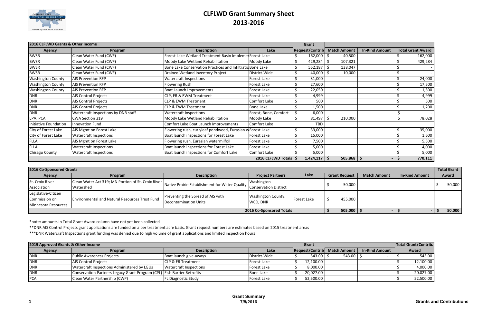

# **CLFLWD Grant Summary Sheet 2013-2016**

| 2016 CLFLWD Grants & Other Income |                                     |                                                            | Grant                   |                        |    |                     |                       |                          |
|-----------------------------------|-------------------------------------|------------------------------------------------------------|-------------------------|------------------------|----|---------------------|-----------------------|--------------------------|
| <b>Agency</b>                     | Program                             | <b>Description</b>                                         | Lake                    | <b>Request/Contrib</b> |    | <b>Match Amount</b> | <b>In-Kind Amount</b> | <b>Total Grant Award</b> |
| <b>BWSR</b>                       | Clean Water Fund (CWF)              | Forest Lake Wetland Treatment Basin Implemer Forest Lake   |                         | 162,000                | -S | 40,500              |                       | 162,000                  |
| <b>BWSR</b>                       | Clean Water Fund (CWF)              | Moody Lake Wetland Rehabilitation                          | Moody Lake              | 429,284                | -S | 107,321             |                       | 429,284                  |
| <b>BWSR</b>                       | Clean Water Fund (CWF)              | Bone Lake Conservation Practices and Infiltratid Bone Lake |                         | 552,187                | -S | 138,047             |                       |                          |
| <b>BWSR</b>                       | Clean Water Fund (CWF)              | Drained Wetland Inventory Project                          | District-Wide           | 40,000                 |    | 10,000              |                       |                          |
| <b>Washington County</b>          | <b>AIS Prevention RFP</b>           | <b>Watercraft Inspections</b>                              | Forest Lake             | 31,000                 |    |                     |                       | 24,000                   |
| <b>Washington County</b>          | <b>AIS Prevention RFP</b>           | Flowering Rush                                             | Forest Lake             | 27,600                 |    |                     |                       | 17,500                   |
| <b>Washington County</b>          | <b>AIS Prevention RFP</b>           | <b>Boat Launch Improvements</b>                            | Forest Lake             | 22,050                 |    |                     |                       | 1,500                    |
| <b>DNR</b>                        | <b>AIS Control Projects</b>         | CLP, FR & EWM Treatment                                    | Forest Lake             | 4,999                  |    |                     |                       | 4,999                    |
| <b>DNR</b>                        | <b>AIS Control Projects</b>         | <b>CLP &amp; EWM Treatment</b>                             | Comfort Lake            | 500                    |    |                     |                       | 500                      |
| <b>DNR</b>                        | <b>AIS Control Projects</b>         | CLP & EWM Treatment                                        | Bone Lake               | 1,500                  |    |                     |                       | 1,200                    |
| <b>DNR</b>                        | Watercraft Inspections by DNR staff | <b>Watercraft Inspections</b>                              | Forest, Bone, Comfort   | 6,000                  |    |                     |                       |                          |
| EPA, PCA                          | CWA Section 319                     | Moody Lake Wetland Rehabilitation                          | Moody Lake              | 81,497                 |    | 210,000             |                       | 78,028                   |
| Initiative Foundation             | Innovation Fund                     | Comfort Lake Boat Launch Improvements                      | Comfort Lake            | <b>TBD</b>             |    |                     |                       |                          |
| City of Forest Lake               | AIS Mgmt on Forest Lake             | Flowering rush, curlyleaf pondweed, Eurasian wForest Lake  |                         | 33,000                 |    |                     |                       | 35,000                   |
| City of Forest Lake               | <b>Watercraft Inspections</b>       | Boat launch inspections for Forest Lake                    | Forest Lake             | 15,000                 |    |                     |                       | 1,600                    |
| <b>FLLA</b>                       | AIS Mgmt on Forest Lake             | Flowering rush, Eurasian watermilfoil                      | Forest Lake             | 7,500                  |    |                     |                       | 5,500                    |
| <b>FLLA</b>                       | <b>Watercraft Inspections</b>       | Boat launch inspections for Forest Lake                    | Forest Lake             | 5,000                  |    |                     |                       | 4,000                    |
| Chisago County                    | <b>Watercraft Inspections</b>       | Boat launch inspections for Comfort Lake                   | Comfort Lake            | 5,000                  |    |                     |                       | 5,000                    |
|                                   |                                     |                                                            | 2016 CLFLWD Totals   \$ | 1,424,117              | -S | 505,868             | -S                    | 770,111                  |

\*note: amounts in Total Grant Award column have not yet been collected

\*\*DNR AIS Control Projects grant applications are funded on a per treatment acre basis. Grant request numbers are estimates based on 2015 treatment areas

| 2016 Co-Sponsored Grants |                                                       |                                                                        |                           |             |                      |                     |                       | <b>Total Grant</b> |
|--------------------------|-------------------------------------------------------|------------------------------------------------------------------------|---------------------------|-------------|----------------------|---------------------|-----------------------|--------------------|
| Agency                   | Program                                               | <b>Description</b>                                                     | <b>Project Partners</b>   | Lake        | <b>Grant Request</b> | <b>Match Amount</b> | <b>In-Kind Amount</b> | Award              |
| St. Croix River          | Clean Water Act 319; MN Portion of St. Croix River    |                                                                        | Washington                |             |                      |                     |                       |                    |
| Association              | Watershed                                             | Native Prairie Establishment for Water Quality Conservation District 1 |                           |             | 50,000               |                     |                       | 50,000             |
| Legislative-Citizen      |                                                       |                                                                        |                           |             |                      |                     |                       |                    |
| Commission on            | <b>Environmental and Natural Resources Trust Fund</b> | Preventing the Spread of AIS with                                      | <b>Washington County,</b> | Forest Lake | 455,000              |                     |                       |                    |
| Minnesota Resources      |                                                       | Decontamination Units                                                  | WCD, DNR                  |             |                      |                     |                       |                    |
| 2016 Co-Sponsored Totals |                                                       |                                                                        |                           |             | $505,000$   \$       |                     |                       | 50,000<br>---      |

\*\*\*DNR Watercraft Inspections grant funding was denied due to high volume of grant applications and limited inspection hours

| 2015 Approved Grants & Other Income |                                                                         |                               |               | <b>Total Grant/Contrib.</b>  |              |                       |  |           |
|-------------------------------------|-------------------------------------------------------------------------|-------------------------------|---------------|------------------------------|--------------|-----------------------|--|-----------|
| Agency                              | Program                                                                 | <b>Description</b>            | Lake          | Request/Contrib Match Amount |              | <b>In-Kind Amount</b> |  | Award     |
| <b>DNR</b>                          | <b>Public Awareness Projects</b>                                        | Boat launch give-aways        | District-Wide | $543.00$ S                   | $543.00$   S |                       |  | 543.00    |
| DNR                                 | <b>AIS Control Projects</b>                                             | <b>CLP &amp; FR Treatment</b> | Forest Lake   | 12,100.00                    |              |                       |  | 12,100.00 |
| <b>DNR</b>                          | Watercraft Inspections Administered by LGUs                             | <b>Watercraft Inspections</b> | Forest Lake   | 8,000.00                     |              |                       |  | 4,000.00  |
| DNR                                 | Conservation Partners Legacy Grant Program (CPL) Fish Barrier Retrofits |                               | Bone Lake     | 20,027.00                    |              |                       |  | 20,027.00 |
| <b>PCA</b>                          | Clean Water Partnership (CWP)                                           | <b>FL Diagnostic Study</b>    | Forest Lake   | 52,500.00                    |              |                       |  | 52,500.00 |